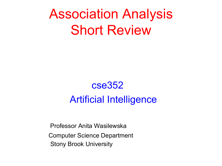# Association Analysis Short Review

## cse352 Artificial Intelligence

Professor Anita Wasilewska Computer Science Department Stony Brook University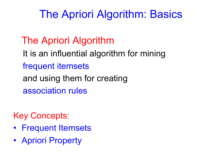## The Apriori Algorithm: Basics

## The Apriori Algorithm

It is an influential algorithm for mining frequent itemsets and using them for creating association rules

Key Concepts:

- Frequent Itemsets
- Apriori Property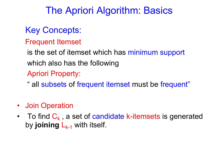## The Apriori Algorithm: Basics

### Key Concepts:

Frequent Itemset

is the set of itemset which has minimum support which also has the following Apriori Property:

" all subsets of frequent itemset must be frequent"

- Join Operation
- To find  $C_k$ , a set of candidate k-itemsets is generated by **joining**  $L_{k-1}$  with itself.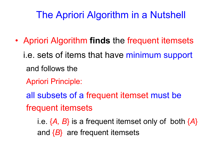## The Apriori Algorithm in a Nutshell

- Apriori Algorithm **finds** the frequent itemsets i.e. sets of items that have minimum support
	- and follows the
	- Apriori Principle:
	- all subsets of a frequent itemset must be frequent itemsets
		- i.e. {*A, B*} is a frequent itemset only of both {*A*} and {*B*} are frequent itemsets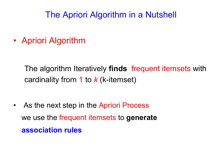#### The Apriori Algorithm in a Nutshell

• Apriori Algorithm

The algorithm Iteratively **finds** frequent itemsets with cardinality from 1 to *k* (k-itemset)

• As the next step in the Apriori Process we use the frequent itemsets to **generate association rules**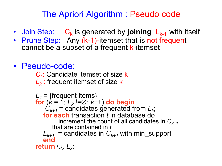#### The Apriori Algorithm : Pseudo code

- Join Step:  $C_k$  is generated by **joining**  $L_{k-1}$  with itself
- Prune Step: Any (k-1)-itemset that is not frequent cannot be a subset of a frequent k-itemset
- Pseudo-code:

*Ck*: Candidate itemset of size k *L<sub>k</sub>*: frequent itemset of size **k** 

 $L_1$  = {frequent items}; **for** (*k* = 1; *Lk* !=Æ; *k*++) **do begin**  $C_{k+1}$  = candidates generated from  $L_k$ ; **for each** transaction *t* in database do increment the count of all candidates in  $C_{k+1}$ that are contained in *t*  $L_{k+1}$  = candidates in  $C_{k+1}$  with min\_support **end return**  $\cup_k$   $\cup_k$ ;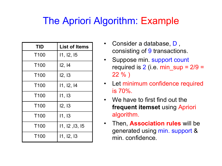## The Apriori Algorithm: Example

| <b>TID</b>       | <b>List of Items</b> |
|------------------|----------------------|
| T <sub>100</sub> | 11, 12, 15           |
| T <sub>100</sub> | 12, 14               |
| T <sub>100</sub> | 12, 13               |
| T <sub>100</sub> | 11, 12, 14           |
| T <sub>100</sub> | 11, 13               |
| T <sub>100</sub> | 12, 13               |
| T <sub>100</sub> | 11, 13               |
| T <sub>100</sub> | 11, 12, 13, 15       |
| T <sub>100</sub> | 11, 12, 13           |

- Consider a database, D , consisting of 9 transactions.
- Suppose min. support count required is  $2$  (i.e. min  $\sup = 2/9 =$  $22 \%$
- Let minimum confidence required is 70%.
- We have to first find out the **frequent itemset** using Apriori algorithm.
- Then, **Association rules** will be generated using min. support & min. confidence.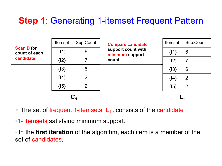### **Step 1**: Generating 1-itemset Frequent Pattern

| <b>Scan D for</b><br>count of each<br>candidate | <b>Itemset</b> | Sup.Count      | <b>Compare candidate</b><br>support count with<br>minimum support<br>count | Itemset  | Sup.Count      |
|-------------------------------------------------|----------------|----------------|----------------------------------------------------------------------------|----------|----------------|
|                                                 | ${11}$         | 6              |                                                                            | $\{11\}$ | 6              |
|                                                 | $\{12\}$       |                |                                                                            | $\{12\}$ | $\overline{7}$ |
|                                                 | $\{13\}$       | 6              |                                                                            | $\{13\}$ | 6              |
|                                                 | $\{14\}$       | $\overline{2}$ |                                                                            | $\{14\}$ | $\overline{2}$ |
|                                                 | $\{15\}$       | $\overline{2}$ |                                                                            | $\{15\}$ | $\overline{2}$ |
|                                                 |                |                |                                                                            |          |                |

• The set of frequent 1-itemsets,  $L_1$ , consists of the candidate

•1- itemsets satisfying minimum support.

• In the **first iteration** of the algorithm, each item is a member of the set of candidates.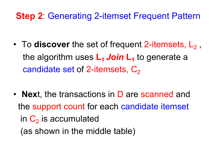#### **Step 2**: Generating 2-itemset Frequent Pattern

- To **discover** the set of frequent 2-itemsets, L<sub>2</sub>, the algorithm uses  $L_1$  *Join*  $L_1$  to generate a candidate set of 2-itemsets,  $C_2$
- **Nex**t, the transactions in D are scanned and the support count for each candidate itemset in  $C_2$  is accumulated (as shown in the middle table)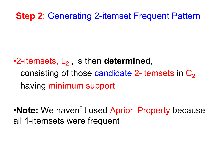#### **Step 2**: Generating 2-itemset Frequent Pattern

## •2-itemsets, L<sub>2</sub>, is then **determined**, consisting of those candidate 2-itemsets in  $C_2$ having minimum support

•**Note:** We haven't used Apriori Property because all 1-itemsets were frequent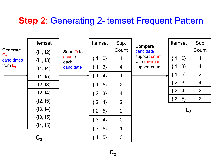#### **Step 2**: Generating 2-itemset Frequent Pattern

|                                                        | <b>Itemset</b> |                                                    | <b>Itemset</b> | Sup.           | <b>Compare</b>                                 | <b>Itemset</b> | Sup            |
|--------------------------------------------------------|----------------|----------------------------------------------------|----------------|----------------|------------------------------------------------|----------------|----------------|
| <b>Generate</b><br>$C_{2}$<br>candidates<br>from $L_1$ | $\{11, 12\}$   | <b>Scan D for</b><br>count of<br>each<br>candidate |                | Count          | candidate                                      |                | Count          |
|                                                        | ${1, 13}$      |                                                    | $\{11, 12\}$   | 4              | support count<br>with minimum<br>support count | $\{11, 12\}$   | 4              |
|                                                        | $\{11, 14\}$   |                                                    | ${1, 13}$      | $\overline{4}$ |                                                | $\{11, 13\}$   | $\overline{4}$ |
|                                                        | $\{11, 15\}$   |                                                    | $\{11, 14\}$   | 1              |                                                | $\{11, 15\}$   | $\overline{2}$ |
|                                                        | ${12, 13}$     |                                                    | $\{11, 15\}$   | $\overline{2}$ |                                                | $\{12, 13\}$   | $\overline{4}$ |
|                                                        | $\{12, 14\}$   |                                                    | ${12, 13}$     | $\overline{4}$ |                                                | $\{12, 14\}$   | 2              |
|                                                        | ${12, 15}$     |                                                    | $\{12, 14\}$   | $\overline{2}$ |                                                | ${12, 15}$     | 2              |
|                                                        | $\{13, 14\}$   |                                                    | ${12, 15}$     | $\overline{2}$ |                                                | L <sub>2</sub> |                |
|                                                        | $\{13, 15\}$   |                                                    | $\{13, 14\}$   | $\overline{0}$ |                                                |                |                |
|                                                        | ${14, 15}$     |                                                    | $\{13, 15\}$   | 1              |                                                |                |                |
|                                                        | C <sub>2</sub> |                                                    | ${14, 15}$     | $\mathbf 0$    |                                                |                |                |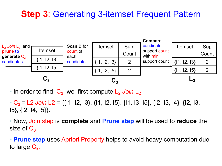#### **Step 3**: Generating 3-itemset Frequent Pattern



• In order to find  $C_3$ , we first compute  $L_2$  *Join*  $L_2$ 

•  $C_3$  = L2 *Join* L2 = {{11, 12, 13}, {11, 12, 15}, {11, 13, 15}, {12, 13, 14}, {12, 13, I5}, {I2, I4, I5}}.

• Now, Join step is **complete** and **Prune step** will be used to **reduce** the size of  $C_3$ 

• **Prune step** uses Apriori Property helps to avoid heavy computation due to large  $C_k$ .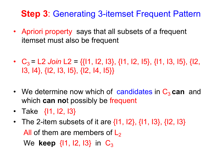#### **Step 3**: Generating 3-itemset Frequent Pattern

- Apriori property says that all subsets of a frequent itemset must also be frequent
- $C_3 = 12$  *Join*  $12 = \{ \{ 11, 12, 13 \}, \{ 11, 12, 15 \}, \{ 11, 13, 15 \}, \{ 12, 13 \} \}$ I3, I4}, {I2, I3, I5}, {I2, I4, I5}}
- We determine now which of candidates in C<sub>3</sub> can and which **can no**t possibly be frequent
- Take {11, 12, 13}
- The 2-item subsets of it are  $\{11, 12\}, \{11, 13\}, \{12, 13\}$ All of them are members of  $L<sub>2</sub>$ We **keep**  $\{11, 12, 13\}$  in  $C_3$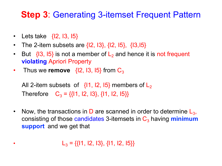#### **Step 3**: Generating 3-itemset Frequent Pattern

- Lets take  $\{12, 13, 15\}$
- The 2-item subsets are  $\{12, 13\}$ ,  $\{12, 15\}$ ,  $\{13, 15\}$
- But  $\{13, 15\}$  is not a member of  $L_2$  and hence it is not frequent **violating** Apriori Property
- Thus we **remove**  $\{12, 13, 15\}$  from  $C_3$

All 2-item subsets of  $\{11, 12, 15\}$  members of  $L_2$ Therefore  $C_3 = \{ \{ 11, 12, 13 \}, \{ 11, 12, 15 \} \}$ 

• Now, the transactions in D are scanned in order to determine  $\mathsf{L}_3$ , consisting of those candidates 3-itemsets in C3 having **minimum support** and we get that

 $L_3 = \{ \{11, 12, 13\}, \{11, 12, 15\} \}$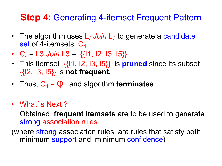#### **Step 4**: Generating 4-itemset Frequent Pattern

- The algorithm uses L<sub>3</sub> Join L<sub>3</sub> to generate a candidate set of 4-itemsets,  $C_4$
- $C_4 = 13$  *Join*  $13 = \{11, 12, 13, 15\}$
- This itemset {{I1, I2, I3, I5}} is **pruned** since its subset {{I2, I3, I5}} is **not frequent.**
- Thus,  $C_4 = \phi$  and algorithm **terminates**
- What's Next?

Obtained **frequent itemsets** are to be used to generate strong association rules

(where strong association rules are rules that satisfy both minimum support and minimum confidence)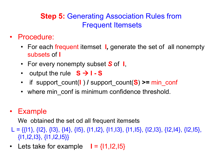#### **Step 5:** Generating Association Rules from Frequent Itemsets

- Procedure:
	- For each frequent itemset **l***,* generate the set of all nonempty subsets of **l**
	- For every nonempty subset *S* of **I**,
	- output the rule  $S \rightarrow I-S$
	- if support\_count(**l** ) **/** support\_count(**S**) **>=** min\_conf
	- where min conf is minimum confidence threshold.

#### • Example

We obtained the set od all frequent itemsets

- L = { $\{11\}$ ,  $\{12\}$ ,  $\{13\}$ ,  $\{14\}$ ,  $\{15\}$ ,  $\{11,12\}$ ,  $\{11,13\}$ ,  $\{11,15\}$ ,  $\{12,13\}$ ,  $\{12,14\}$ ,  $\{12,15\}$ ,  $\{11, 12, 13\}, \{11, 12, 15\}\}$
- Lets take for example  $I = \{11, 12, 15\}$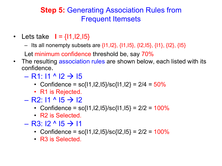#### **Step 5:** Generating Association Rules from Frequent Itemsets

- Lets take **I** = {**I1,I2,I5**}
	- Its all nonempty subsets are  $\{11,12\}$ ,  $\{11,15\}$ ,  $\{12,15\}$ ,  $\{11\}$ ,  $\{12\}$ ,  $\{15\}$

Let minimum confidence threshold be, say 70%

- The resulting association rules are shown below, each listed with its confidence.
	- $-$  R1: I1 ^ I2  $\rightarrow$  I5
		- Confidence =  $sc{11,12,15}/sc{11,12} = 2/4 = 50%$
		- R1 is Rejected.
	- $-$  R2: I1 ^ I5  $\rightarrow$  I2
		- Confidence =  $sc{11,12,15}/sc{11,15} = 2/2 = 100\%$
		- R<sub>2</sub> is Selected.
	- $-$  R3: I2  $\land$  I5  $\rightarrow$  I1
		- Confidence =  $sc\{11, 12, 15\}/sc\{12, 15\} = 2/2 = 100\%$
		- R3 is Selected.